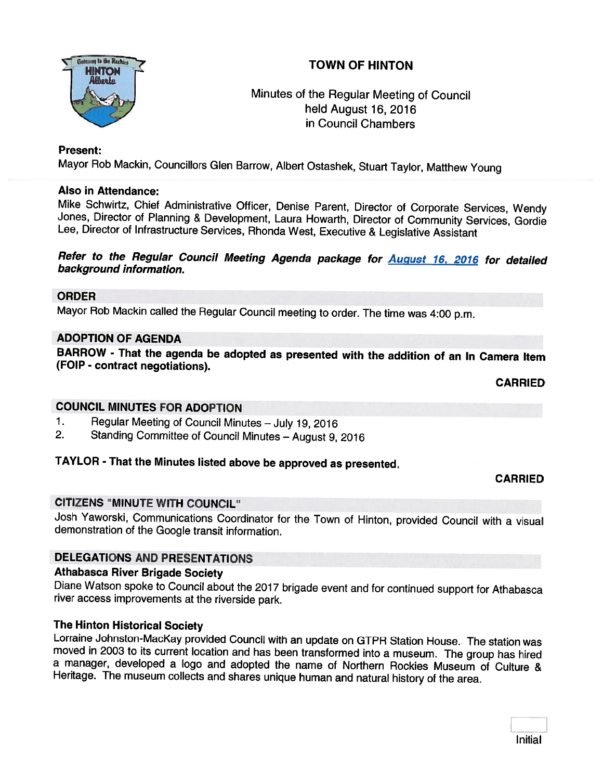

# **TOWN OF HINTON**<br>INTON

# Minutes of the Regular Meeting of Council held August 16, 2016 in Council Chambers

#### Present:

Mayor Rob Mackin, Councillors Glen Barrow, Albert Ostashek, Stuart Taylor, Matthew Young

#### Also in Attendance:

Mike Schwirtz, Chief Administrative Officer, Denise Parent, Director of Corporate Services, Wendy Jones, Director of Planning & Development, Laura Howarth, Director of Community Services, Gordie Lee, Director of Infrastruc

# Refer to the Regular Council Meeting Agenda package for **August 16, 2016** for detailed background information.

#### ORDER

Mayor Rob Mackin called the Regular Council meeting to order. The time was 4:00 p.m.

#### ADOPTION OF AGENDA

BARROW - That the agenda be adopted as presented with the addition of an In Camera Item (FOIP - contract negotiations).

CARRIED

#### COUNCIL MINUTES FOR ADOPTION

- 1. Regular Meeting of Council Minutes July 19, 2016<br>2. Standing Committee of Council Minutes August 9
- 2. Standing Committee of Council Minutes August 9, <sup>2016</sup>

### TAYLOR - That the Minutes listed above be approved as presented.

#### CARRIED

#### CITIZENS "MINUTE WITH COUNCIL"

Josh Yaworski, Communications Coordinator for the Town of Hinton, provided Council with <sup>a</sup> visual demonstration of the Google transit information.

#### DELEGATIONS AND PRESENTATIONS

#### Athabasca River Brigade Society

Diane Watson spoke to Council about the <sup>2017</sup> brigade event and for continued support for Athabasca river access improvements at the riverside park.

The Hinton Historical Society<br>Lorraine Johnston-MacKay provided Council with an update on GTPR Station House. The station was moved in 2003 to its current location and has been transformed into a museum. The group has hired a manager, developed a logo and adopted the name of Northern Rockies Museum of Culture & Heritage. The museum collects and shares unique human and natural history of the area.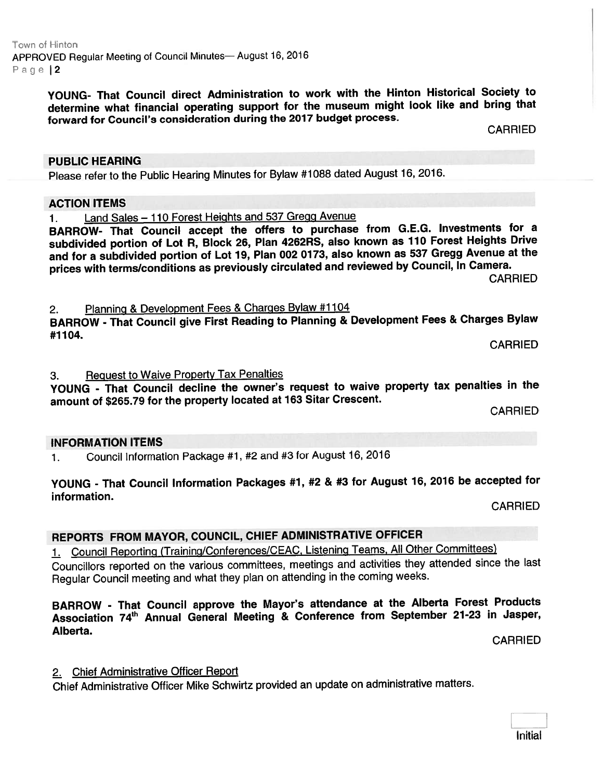Town of Hinton APPROVED Regular Meeting of Council Minutes— August 16, <sup>2016</sup> Page | 2

> YOUNG- That Council direct Administration to work with the Hinton Historical Society to determine what financial operating suppor<sup>t</sup> for the museum might look like and bring that forward for Council's consideration during the 2017 budget process.

CARRIED

Please refer to the Public Hearing Minutes for Bylaw #1088 dated August 16, 2016.

#### ACTION ITEMS

PUBLIC HEARING

1. Land Sales — <sup>110</sup> Forest Heights and 537 Gregg Avenue

BARROW- That Council accep<sup>t</sup> the offers to purchase from G.E.G. Investments for <sup>a</sup> subdivided portion of Lot R, Block 26, Plan 4262RS, also known as <sup>110</sup> Forest Heights Drive and for <sup>a</sup> subdivided portion of Lot 19, Plan <sup>002</sup> 0173, also known as <sup>537</sup> Gregg Avenue at the prices with terms/conditions as previously circulated and reviewed by Council, In Camera.<br>CARRIED

2. Planning & Development Fees & Charges Bylaw #1104

BARROW - That Council <sup>g</sup>ive First Reading to Planning & Development Fees & Charges Bylaw #1104.

CARRIED

3. Request to Waive Property Tax Penalties

YOUNG - That Council decline the owner's reques<sup>t</sup> to waive property tax penalties in the amount of \$265.79 for the property located at <sup>163</sup> Sitar Crescent.

**CARRIED** 

#### INFORMATION ITEMS

1. Council Information Package #1, #2 and #3 for August 16, <sup>2016</sup>

# YOUNG - That Council Information Packages #1, #2 & #3 for August 16, <sup>2016</sup> be accepted for information.

CARRIED

## REPORTS FROM MAYOR, COUNCIL, CHIEF ADMINISTRATIVE OFFICER

1. Council Reporting (Training/Conferences/CEAC, Listening Teams, All Other Committees)

Councillors reported on the various committees, meetings and activities they attended since the last Regular Council meeting and what they <sup>p</sup>lan on attending in the coming weeks.

#### BARROW - That Council approve the Mayor's attendance at the Alberta Forest Products Association 74<sup>th</sup> Annual General Meeting & Conference from September 21-23 in Jasper, Alberta.

CARRIED

# 2. Chief Administrative Officer Report

Chief Administrative Officer Mike Schwirtz provided an update on administrative matters.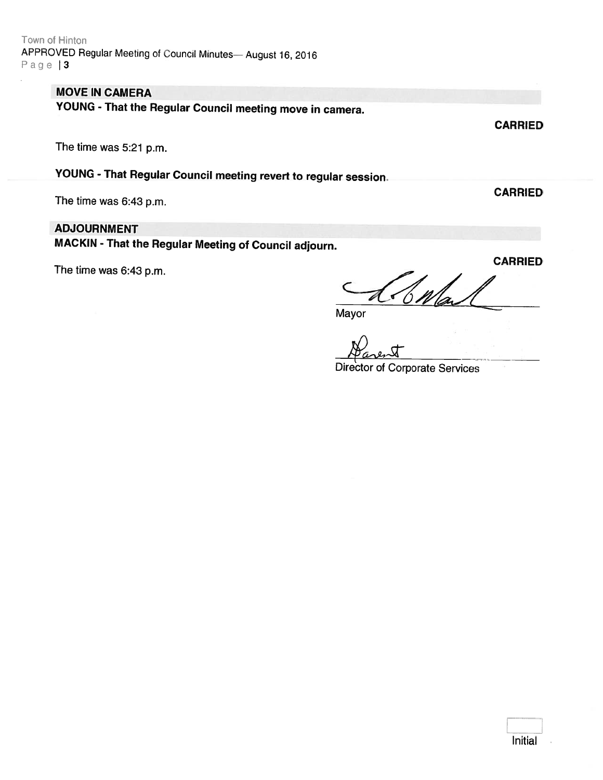Town of Hinton APPROVED Regular Meeting of Council Minutes- August 16, 2016 Page | 3

### MOVE IN CAMERA

YOUNG - That the Regular Council meeting move in camera.

The time was 5:21 p.m.

YOUNG - That Regular Council meeting revert to regular session.

The time was 6:43 p.m.

#### ADJOURNMENT

MACKIN - That the Regular Meeting of Council adjourn.

The time was 6:43 p.m.

CARRIED  $\frac{\partial}{\partial h}$ 

Mayor

Director of Corporate Services

**CARRIED** 

**CARRIED** 

Initial